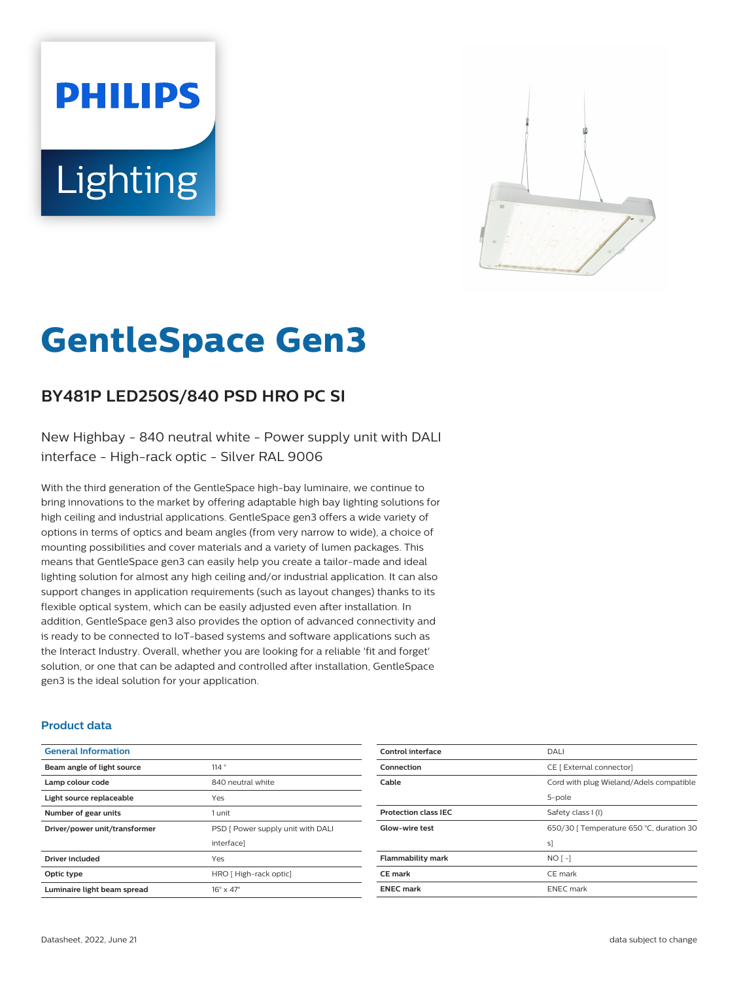# **PHILIPS Lighting**



# **GentleSpace Gen3**

# **BY481P LED250S/840 PSD HRO PC SI**

New Highbay - 840 neutral white - Power supply unit with DALI interface - High-rack optic - Silver RAL 9006

With the third generation of the GentleSpace high-bay luminaire, we continue to bring innovations to the market by offering adaptable high bay lighting solutions for high ceiling and industrial applications. GentleSpace gen3 offers a wide variety of options in terms of optics and beam angles (from very narrow to wide), a choice of mounting possibilities and cover materials and a variety of lumen packages. This means that GentleSpace gen3 can easily help you create a tailor-made and ideal lighting solution for almost any high ceiling and/or industrial application. It can also support changes in application requirements (such as layout changes) thanks to its flexible optical system, which can be easily adjusted even after installation. In addition, GentleSpace gen3 also provides the option of advanced connectivity and is ready to be connected to IoT-based systems and software applications such as the Interact Industry. Overall, whether you are looking for a reliable 'fit and forget' solution, or one that can be adapted and controlled after installation, GentleSpace gen3 is the ideal solution for your application.

#### **Product data**

| <b>General Information</b>    |                                   |
|-------------------------------|-----------------------------------|
| Beam angle of light source    | 114°                              |
| Lamp colour code              | 840 neutral white                 |
| Light source replaceable      | Yes                               |
| Number of gear units          | 1 unit                            |
| Driver/power unit/transformer | PSD [ Power supply unit with DALI |
|                               | interface]                        |
| <b>Driver included</b>        | Yes                               |
| Optic type                    | HRO [High-rack optic]             |
| Luminaire light beam spread   | $16^\circ \times 47^\circ$        |

| Control interface           | DALI                                     |
|-----------------------------|------------------------------------------|
| Connection                  | CE [ External connector]                 |
| Cable                       | Cord with plug Wieland/Adels compatible  |
|                             | 5-pole                                   |
| <b>Protection class IEC</b> | Safety class I (I)                       |
| Glow-wire test              | 650/30   Temperature 650 °C, duration 30 |
|                             | sl                                       |
| <b>Flammability mark</b>    | $NO[-]$                                  |
| <b>CE</b> mark              | CE mark                                  |
| <b>ENEC mark</b>            | <b>ENEC</b> mark                         |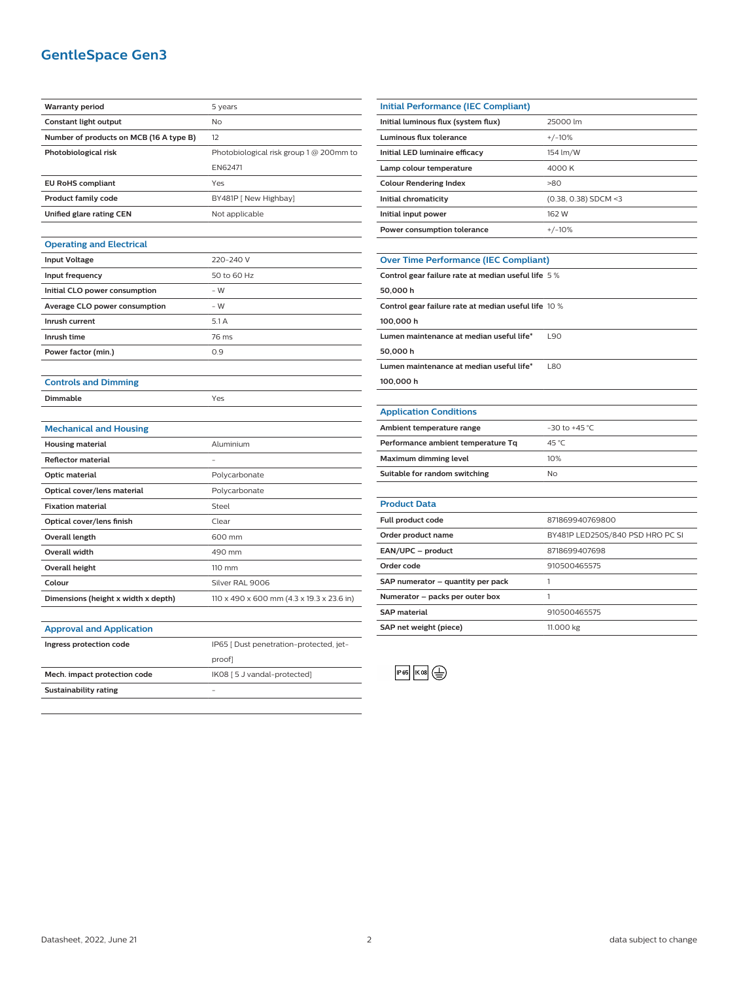## **GentleSpace Gen3**

| <b>Warranty period</b>                  | 5 years                                   |
|-----------------------------------------|-------------------------------------------|
| Constant light output                   | No                                        |
| Number of products on MCB (16 A type B) | 12 <sup>12</sup>                          |
| Photobiological risk                    | Photobiological risk group 1 @ 200mm to   |
|                                         | EN62471                                   |
| <b>EU RoHS compliant</b>                | Yes                                       |
| <b>Product family code</b>              | BY481P [ New Highbay]                     |
| Unified glare rating CEN                | Not applicable                            |
|                                         |                                           |
| <b>Operating and Electrical</b>         |                                           |
| <b>Input Voltage</b>                    | 220-240 V                                 |
| Input frequency                         | 50 to 60 Hz                               |
| Initial CLO power consumption           | $-W$                                      |
| <b>Average CLO power consumption</b>    | - W                                       |
| Inrush current                          | 5.1A                                      |
| Inrush time                             | 76 ms                                     |
| Power factor (min.)                     | 0.9                                       |
|                                         |                                           |
| <b>Controls and Dimming</b>             |                                           |
| <b>Dimmable</b>                         | Yes                                       |
|                                         |                                           |
| <b>Mechanical and Housing</b>           |                                           |
| <b>Housing material</b>                 | Aluminium                                 |
| <b>Reflector material</b>               |                                           |
| Optic material                          | Polycarbonate                             |
| Optical cover/lens material             | Polycarbonate                             |
| <b>Fixation material</b>                | Steel                                     |
| Optical cover/lens finish               | Clear                                     |
| Overall length                          | 600 mm                                    |
| <b>Overall width</b>                    | 490 mm                                    |
| Overall height                          | 110 mm                                    |
| Colour                                  | Silver RAL 9006                           |
| Dimensions (height x width x depth)     | 110 x 490 x 600 mm (4.3 x 19.3 x 23.6 in) |
|                                         |                                           |
| <b>Approval and Application</b>         |                                           |
| Ingress protection code                 | IP65 [ Dust penetration-protected, jet-   |
|                                         | proof]                                    |
| Mech. impact protection code            | IK08 [5 J vandal-protected]               |
| <b>Sustainability rating</b>            |                                           |
|                                         |                                           |
|                                         |                                           |

| <b>Initial Performance (IEC Compliant)</b> |                        |
|--------------------------------------------|------------------------|
| Initial luminous flux (system flux)        | 25000 lm               |
| Luminous flux tolerance                    | $+/-10%$               |
| Initial LED luminaire efficacy             | 154 lm/W               |
| Lamp colour temperature                    | 4000 K                 |
| <b>Colour Rendering Index</b>              | >80                    |
| Initial chromaticity                       | $(0.38, 0.38)$ SDCM <3 |
| Initial input power                        | 162 W                  |
| Power consumption tolerance                | $+/-10%$               |
|                                            |                        |

# **Over Time Performance (IEC Compliant)**

| <b>OVER THIS PERMIT COMMUNIST LESS COMPUTER</b>      |            |  |
|------------------------------------------------------|------------|--|
| Control gear failure rate at median useful life 5%   |            |  |
| 50,000 h                                             |            |  |
| Control gear failure rate at median useful life 10 % |            |  |
| 100,000h                                             |            |  |
| Lumen maintenance at median useful life*             | <b>L90</b> |  |
| 50,000h                                              |            |  |
| Lumen maintenance at median useful life*             | <b>L80</b> |  |
| 100,000h                                             |            |  |
|                                                      |            |  |
|                                                      |            |  |

#### **Application Conditions**

J.

| <b>Application conditions</b>      |                    |
|------------------------------------|--------------------|
| Ambient temperature range          | $-30$ to $+45$ °C. |
| Performance ambient temperature Tq | 45 °C              |
| Maximum dimming level              | 10%                |
| Suitable for random switching      | No                 |

| <b>Product Data</b>               |                                  |
|-----------------------------------|----------------------------------|
| <b>Full product code</b>          | 871869940769800                  |
| Order product name                | BY481P LED250S/840 PSD HRO PC SI |
| EAN/UPC - product                 | 8718699407698                    |
| Order code                        | 910500465575                     |
| SAP numerator - quantity per pack |                                  |
| Numerator - packs per outer box   |                                  |
| <b>SAP material</b>               | 910500465575                     |
| SAP net weight (piece)            | 11.000 kg                        |



 $\overline{\phantom{0}}$ 

 $\overline{\phantom{0}}$ 

 $\overline{\phantom{0}}$  $\overline{\phantom{a}}$